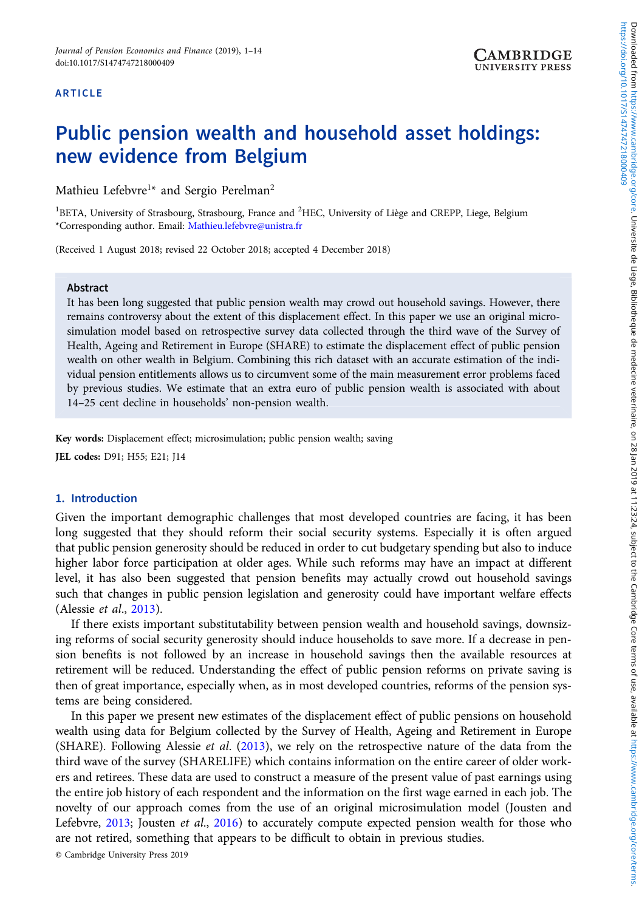## ARTICLE

# Public pension wealth and household asset holdings: new evidence from Belgium

Mathieu Lefebvre<sup>1\*</sup> and Sergio Perelman<sup>2</sup>

<sup>1</sup>BETA, University of Strasbourg, Strasbourg, France and <sup>2</sup>HEC, University of Liège and CREPP, Liege, Belgium \*Corresponding author. Email: [Mathieu.lefebvre@unistra.fr](mailto:Mathieu.lefebvre@unistra.fr)

(Received 1 August 2018; revised 22 October 2018; accepted 4 December 2018)

### Abstract

It has been long suggested that public pension wealth may crowd out household savings. However, there remains controversy about the extent of this displacement effect. In this paper we use an original microsimulation model based on retrospective survey data collected through the third wave of the Survey of Health, Ageing and Retirement in Europe (SHARE) to estimate the displacement effect of public pension wealth on other wealth in Belgium. Combining this rich dataset with an accurate estimation of the individual pension entitlements allows us to circumvent some of the main measurement error problems faced by previous studies. We estimate that an extra euro of public pension wealth is associated with about 14–25 cent decline in households' non-pension wealth.

Key words: Displacement effect; microsimulation; public pension wealth; saving JEL codes: D91; H55; E21; J14

# 1. Introduction

Given the important demographic challenges that most developed countries are facing, it has been long suggested that they should reform their social security systems. Especially it is often argued that public pension generosity should be reduced in order to cut budgetary spending but also to induce higher labor force participation at older ages. While such reforms may have an impact at different level, it has also been suggested that pension benefits may actually crowd out household savings such that changes in public pension legislation and generosity could have important welfare effects (Alessie et al., [2013\)](#page-12-0).

If there exists important substitutability between pension wealth and household savings, downsizing reforms of social security generosity should induce households to save more. If a decrease in pension benefits is not followed by an increase in household savings then the available resources at retirement will be reduced. Understanding the effect of public pension reforms on private saving is then of great importance, especially when, as in most developed countries, reforms of the pension systems are being considered.

In this paper we present new estimates of the displacement effect of public pensions on household wealth using data for Belgium collected by the Survey of Health, Ageing and Retirement in Europe (SHARE). Following Alessie et al. [\(2013\)](#page-12-0), we rely on the retrospective nature of the data from the third wave of the survey (SHARELIFE) which contains information on the entire career of older workers and retirees. These data are used to construct a measure of the present value of past earnings using the entire job history of each respondent and the information on the first wage earned in each job. The novelty of our approach comes from the use of an original microsimulation model (Jousten and Lefebvre, [2013](#page-12-0); Jousten et al., [2016](#page-12-0)) to accurately compute expected pension wealth for those who are not retired, something that appears to be difficult to obtain in previous studies.

© Cambridge University Press 2019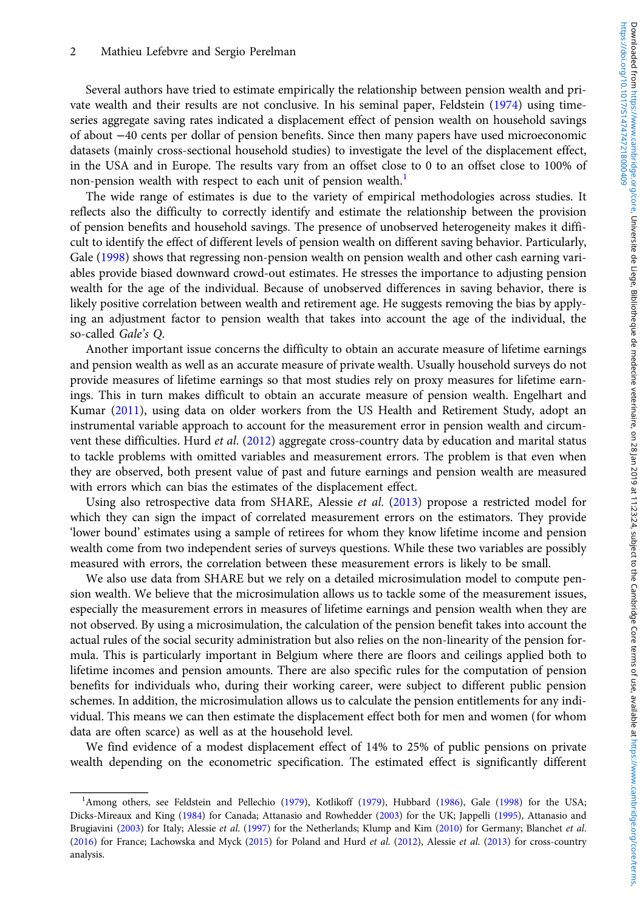Several authors have tried to estimate empirically the relationship between pension wealth and private wealth and their results are not conclusive. In his seminal paper, Feldstein [\(1974](#page-12-0)) using timeseries aggregate saving rates indicated a displacement effect of pension wealth on household savings of about −40 cents per dollar of pension benefits. Since then many papers have used microeconomic datasets (mainly cross-sectional household studies) to investigate the level of the displacement effect, in the USA and in Europe. The results vary from an offset close to 0 to an offset close to 100% of non-pension wealth with respect to each unit of pension wealth.<sup>1</sup>

The wide range of estimates is due to the variety of empirical methodologies across studies. It reflects also the difficulty to correctly identify and estimate the relationship between the provision of pension benefits and household savings. The presence of unobserved heterogeneity makes it difficult to identify the effect of different levels of pension wealth on different saving behavior. Particularly, Gale [\(1998](#page-12-0)) shows that regressing non-pension wealth on pension wealth and other cash earning variables provide biased downward crowd-out estimates. He stresses the importance to adjusting pension wealth for the age of the individual. Because of unobserved differences in saving behavior, there is likely positive correlation between wealth and retirement age. He suggests removing the bias by applying an adjustment factor to pension wealth that takes into account the age of the individual, the so-called Gale's Q.

Another important issue concerns the difficulty to obtain an accurate measure of lifetime earnings and pension wealth as well as an accurate measure of private wealth. Usually household surveys do not provide measures of lifetime earnings so that most studies rely on proxy measures for lifetime earnings. This in turn makes difficult to obtain an accurate measure of pension wealth. Engelhart and Kumar ([2011](#page-12-0)), using data on older workers from the US Health and Retirement Study, adopt an instrumental variable approach to account for the measurement error in pension wealth and circum-vent these difficulties. Hurd et al. ([2012](#page-12-0)) aggregate cross-country data by education and marital status to tackle problems with omitted variables and measurement errors. The problem is that even when they are observed, both present value of past and future earnings and pension wealth are measured with errors which can bias the estimates of the displacement effect.

Using also retrospective data from SHARE, Alessie et al. [\(2013\)](#page-12-0) propose a restricted model for which they can sign the impact of correlated measurement errors on the estimators. They provide 'lower bound' estimates using a sample of retirees for whom they know lifetime income and pension wealth come from two independent series of surveys questions. While these two variables are possibly measured with errors, the correlation between these measurement errors is likely to be small.

We also use data from SHARE but we rely on a detailed microsimulation model to compute pension wealth. We believe that the microsimulation allows us to tackle some of the measurement issues, especially the measurement errors in measures of lifetime earnings and pension wealth when they are not observed. By using a microsimulation, the calculation of the pension benefit takes into account the actual rules of the social security administration but also relies on the non-linearity of the pension formula. This is particularly important in Belgium where there are floors and ceilings applied both to lifetime incomes and pension amounts. There are also specific rules for the computation of pension benefits for individuals who, during their working career, were subject to different public pension schemes. In addition, the microsimulation allows us to calculate the pension entitlements for any individual. This means we can then estimate the displacement effect both for men and women (for whom data are often scarce) as well as at the household level.

We find evidence of a modest displacement effect of 14% to 25% of public pensions on private wealth depending on the econometric specification. The estimated effect is significantly different

<sup>&</sup>lt;sup>1</sup>Among others, see Feldstein and Pellechio [\(1979\)](#page-12-0), Kotlikoff ([1979](#page-12-0)), Hubbard ([1986](#page-12-0)), Gale ([1998\)](#page-12-0) for the USA; Dicks-Mireaux and King ([1984](#page-12-0)) for Canada; Attanasio and Rowhedder ([2003\)](#page-12-0) for the UK; Jappelli ([1995\)](#page-12-0), Attanasio and Brugiavini ([2003\)](#page-12-0) for Italy; Alessie et al. ([1997](#page-11-0)) for the Netherlands; Klump and Kim [\(2010\)](#page-12-0) for Germany; Blanchet et al. ([2016\)](#page-12-0) for France; Lachowska and Myck [\(2015](#page-12-0)) for Poland and Hurd et al. ([2012\)](#page-12-0), Alessie et al. ([2013\)](#page-12-0) for cross-country analysis.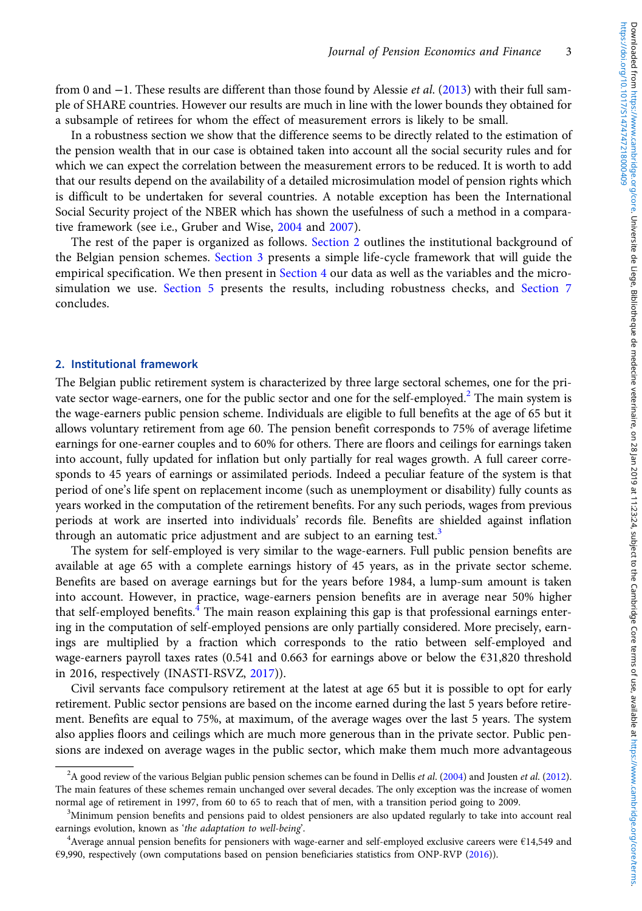<span id="page-2-0"></span>from 0 and −1. These results are different than those found by Alessie et al. [\(2013\)](#page-12-0) with their full sample of SHARE countries. However our results are much in line with the lower bounds they obtained for a subsample of retirees for whom the effect of measurement errors is likely to be small.

In a robustness section we show that the difference seems to be directly related to the estimation of the pension wealth that in our case is obtained taken into account all the social security rules and for which we can expect the correlation between the measurement errors to be reduced. It is worth to add that our results depend on the availability of a detailed microsimulation model of pension rights which is difficult to be undertaken for several countries. A notable exception has been the International Social Security project of the NBER which has shown the usefulness of such a method in a comparative framework (see i.e., Gruber and Wise, [2004](#page-12-0) and [2007\)](#page-12-0).

The rest of the paper is organized as follows. Section 2 outlines the institutional background of the Belgian pension schemes. [Section 3](#page-3-0) presents a simple life-cycle framework that will guide the empirical specification. We then present in [Section 4](#page-4-0) our data as well as the variables and the microsimulation we use. [Section 5](#page-6-0) presents the results, including robustness checks, and [Section 7](#page-11-0) concludes.

# 2. Institutional framework

The Belgian public retirement system is characterized by three large sectoral schemes, one for the private sector wage-earners, one for the public sector and one for the self-employed.<sup>2</sup> The main system is the wage-earners public pension scheme. Individuals are eligible to full benefits at the age of 65 but it allows voluntary retirement from age 60. The pension benefit corresponds to 75% of average lifetime earnings for one-earner couples and to 60% for others. There are floors and ceilings for earnings taken into account, fully updated for inflation but only partially for real wages growth. A full career corresponds to 45 years of earnings or assimilated periods. Indeed a peculiar feature of the system is that period of one's life spent on replacement income (such as unemployment or disability) fully counts as years worked in the computation of the retirement benefits. For any such periods, wages from previous periods at work are inserted into individuals' records file. Benefits are shielded against inflation through an automatic price adjustment and are subject to an earning test.<sup>3</sup>

The system for self-employed is very similar to the wage-earners. Full public pension benefits are available at age 65 with a complete earnings history of 45 years, as in the private sector scheme. Benefits are based on average earnings but for the years before 1984, a lump-sum amount is taken into account. However, in practice, wage-earners pension benefits are in average near 50% higher that self-employed benefits.<sup>4</sup> The main reason explaining this gap is that professional earnings entering in the computation of self-employed pensions are only partially considered. More precisely, earnings are multiplied by a fraction which corresponds to the ratio between self-employed and wage-earners payroll taxes rates (0.541 and 0.663 for earnings above or below the €31,820 threshold in 2016, respectively (INASTI-RSVZ, [2017](#page-12-0))).

Civil servants face compulsory retirement at the latest at age 65 but it is possible to opt for early retirement. Public sector pensions are based on the income earned during the last 5 years before retirement. Benefits are equal to 75%, at maximum, of the average wages over the last 5 years. The system also applies floors and ceilings which are much more generous than in the private sector. Public pensions are indexed on average wages in the public sector, which make them much more advantageous

<sup>&</sup>lt;sup>2</sup>A good review of the various Belgian public pension schemes can be found in Dellis et al. ([2004\)](#page-12-0) and Jousten et al. ([2012\)](#page-12-0). The main features of these schemes remain unchanged over several decades. The only exception was the increase of women normal age of retirement in 1997, from 60 to 65 to reach that of men, with a transition period going to 2009.

<sup>&</sup>lt;sup>3</sup>Minimum pension benefits and pensions paid to oldest pensioners are also updated regularly to take into account real earnings evolution, known as 'the adaptation to well-being'.

Average annual pension benefits for pensioners with wage-earner and self-employed exclusive careers were €14,549 and €9,990, respectively (own computations based on pension beneficiaries statistics from ONP-RVP [\(2016\)](#page-12-0)).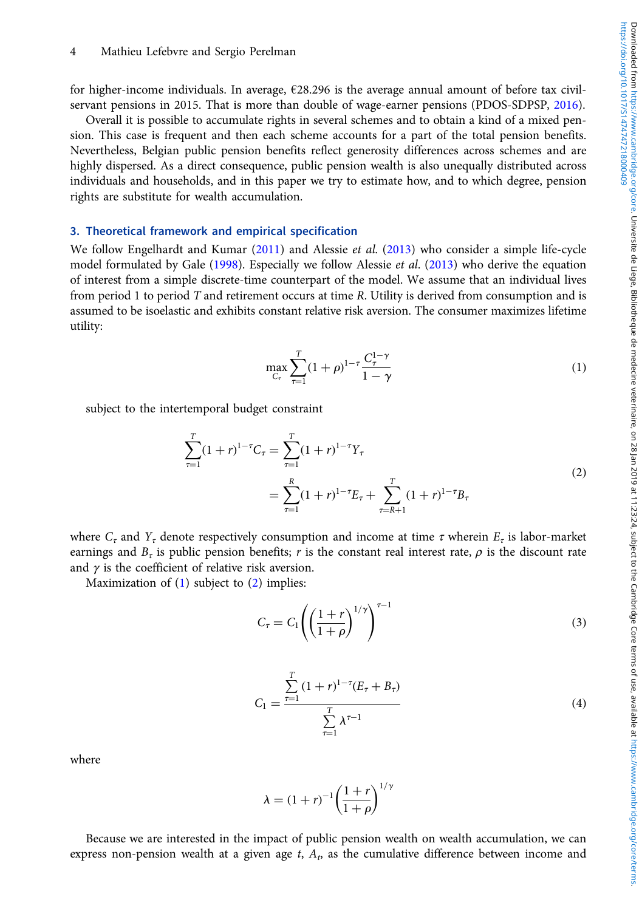<span id="page-3-0"></span>for higher-income individuals. In average, €28.296 is the average annual amount of before tax civilservant pensions in 2015. That is more than double of wage-earner pensions (PDOS-SDPSP, [2016](#page-12-0)).

Overall it is possible to accumulate rights in several schemes and to obtain a kind of a mixed pension. This case is frequent and then each scheme accounts for a part of the total pension benefits. Nevertheless, Belgian public pension benefits reflect generosity differences across schemes and are highly dispersed. As a direct consequence, public pension wealth is also unequally distributed across individuals and households, and in this paper we try to estimate how, and to which degree, pension rights are substitute for wealth accumulation.

## 3. Theoretical framework and empirical specification

We follow Engelhardt and Kumar ([2011](#page-12-0)) and Alessie et al. [\(2013\)](#page-12-0) who consider a simple life-cycle model formulated by Gale [\(1998\)](#page-12-0). Especially we follow Alessie et al. ([2013](#page-12-0)) who derive the equation of interest from a simple discrete-time counterpart of the model. We assume that an individual lives from period 1 to period T and retirement occurs at time R. Utility is derived from consumption and is assumed to be isoelastic and exhibits constant relative risk aversion. The consumer maximizes lifetime utility:

$$
\max_{C_{\tau}} \sum_{\tau=1}^{T} (1+\rho)^{1-\tau} \frac{C_{\tau}^{1-\gamma}}{1-\gamma}
$$
 (1)

subject to the intertemporal budget constraint

$$
\sum_{\tau=1}^{T} (1+r)^{1-\tau} C_{\tau} = \sum_{\tau=1}^{T} (1+r)^{1-\tau} Y_{\tau}
$$
\n
$$
= \sum_{\tau=1}^{R} (1+r)^{1-\tau} E_{\tau} + \sum_{\tau=R+1}^{T} (1+r)^{1-\tau} B_{\tau}
$$
\n(2)

where  $C_{\tau}$  and  $Y_{\tau}$  denote respectively consumption and income at time  $\tau$  wherein  $E_{\tau}$  is labor-market earnings and  $B<sub>r</sub>$  is public pension benefits; r is the constant real interest rate,  $\rho$  is the discount rate and  $\gamma$  is the coefficient of relative risk aversion.

Maximization of  $(1)$  subject to  $(2)$  implies:

$$
C_{\tau} = C_1 \left( \left( \frac{1+r}{1+\rho} \right)^{1/\gamma} \right)^{\tau-1} \tag{3}
$$

$$
C_1 = \frac{\sum_{\tau=1}^{T} (1+r)^{1-\tau} (E_{\tau} + B_{\tau})}{\sum_{\tau=1}^{T} \lambda^{\tau-1}}
$$
(4)

where

$$
\lambda = (1+r)^{-1} \left(\frac{1+r}{1+\rho}\right)^{1/\gamma}
$$

Because we are interested in the impact of public pension wealth on wealth accumulation, we can express non-pension wealth at a given age  $t$ ,  $A<sub>b</sub>$ , as the cumulative difference between income and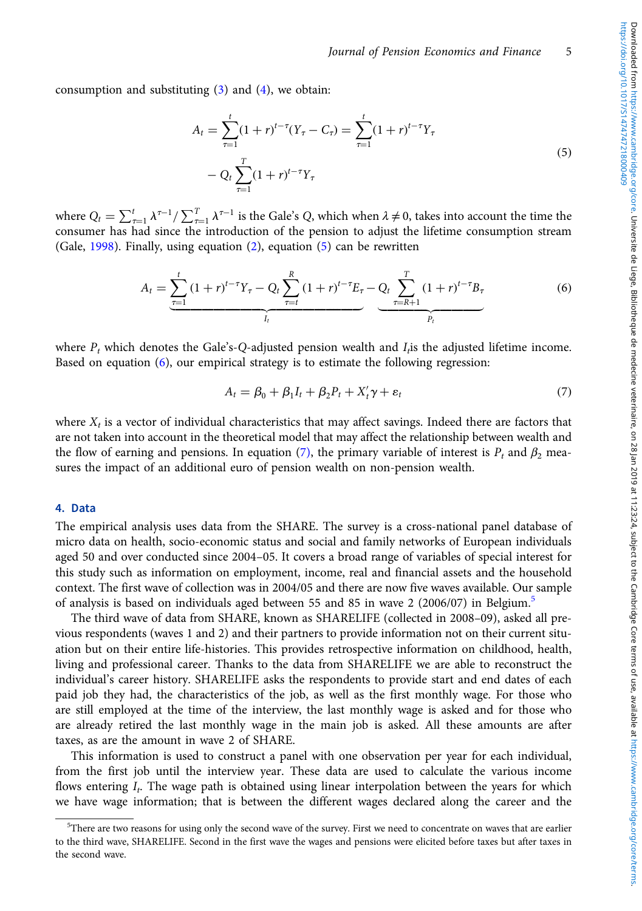<span id="page-4-0"></span>consumption and substituting  $(3)$  $(3)$  and  $(4)$ , we obtain:

$$
A_t = \sum_{\tau=1}^t (1+r)^{t-\tau} (Y_\tau - C_\tau) = \sum_{\tau=1}^t (1+r)^{t-\tau} Y_\tau
$$
  
-  $Q_t \sum_{\tau=1}^T (1+r)^{t-\tau} Y_\tau$  (5)

where  $Q_t = \sum_{\tau=1}^t \lambda^{\tau-1} / \sum_{\tau=1}^T \lambda^{\tau-1}$  is the Gale's Q, which when  $\lambda \neq 0$ , takes into account the time the consumer has had since the introduction of the pension to adjust the lifetime consumption stream (Gale,  $1998$ ). Finally, using equation ([2](#page-3-0)), equation (5) can be rewritten

$$
A_{t} = \underbrace{\sum_{\tau=1}^{t} (1+r)^{t-\tau} Y_{\tau} - Q_{t} \sum_{\tau=t}^{R} (1+r)^{t-\tau} E_{\tau} - Q_{t} \sum_{\tau=R+1}^{T} (1+r)^{t-\tau} B_{\tau}}_{P_{t}}
$$
(6)

where  $P_t$  which denotes the Gale's-Q-adjusted pension wealth and  $I_t$  is the adjusted lifetime income. Based on equation (6), our empirical strategy is to estimate the following regression:

$$
A_t = \beta_0 + \beta_1 I_t + \beta_2 P_t + X'_t \gamma + \varepsilon_t \tag{7}
$$

where  $X_t$  is a vector of individual characteristics that may affect savings. Indeed there are factors that are not taken into account in the theoretical model that may affect the relationship between wealth and the flow of earning and pensions. In equation (7), the primary variable of interest is  $P_t$  and  $\beta_2$  measures the impact of an additional euro of pension wealth on non-pension wealth.

## 4. Data

The empirical analysis uses data from the SHARE. The survey is a cross-national panel database of micro data on health, socio-economic status and social and family networks of European individuals aged 50 and over conducted since 2004–05. It covers a broad range of variables of special interest for this study such as information on employment, income, real and financial assets and the household context. The first wave of collection was in 2004/05 and there are now five waves available. Our sample of analysis is based on individuals aged between 55 and 85 in wave 2 (2006/07) in Belgium. $\overline{5}$ 

The third wave of data from SHARE, known as SHARELIFE (collected in 2008–09), asked all previous respondents (waves 1 and 2) and their partners to provide information not on their current situation but on their entire life-histories. This provides retrospective information on childhood, health, living and professional career. Thanks to the data from SHARELIFE we are able to reconstruct the individual's career history. SHARELIFE asks the respondents to provide start and end dates of each paid job they had, the characteristics of the job, as well as the first monthly wage. For those who are still employed at the time of the interview, the last monthly wage is asked and for those who are already retired the last monthly wage in the main job is asked. All these amounts are after taxes, as are the amount in wave 2 of SHARE.

This information is used to construct a panel with one observation per year for each individual, from the first job until the interview year. These data are used to calculate the various income flows entering  $I_t$ . The wage path is obtained using linear interpolation between the years for which we have wage information; that is between the different wages declared along the career and the

<sup>&</sup>lt;sup>5</sup>There are two reasons for using only the second wave of the survey. First we need to concentrate on waves that are earlier to the third wave, SHARELIFE. Second in the first wave the wages and pensions were elicited before taxes but after taxes in the second wave.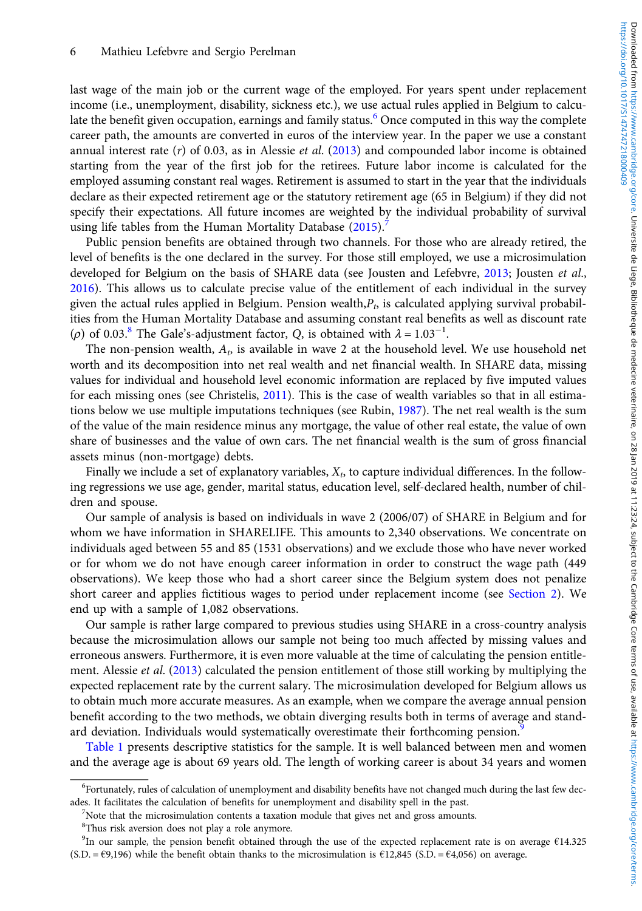last wage of the main job or the current wage of the employed. For years spent under replacement income (i.e., unemployment, disability, sickness etc.), we use actual rules applied in Belgium to calculate the benefit given occupation, earnings and family status.<sup>6</sup> Once computed in this way the complete career path, the amounts are converted in euros of the interview year. In the paper we use a constant annual interest rate  $(r)$  of 0.03, as in Alessie *et al.* [\(2013](#page-12-0)) and compounded labor income is obtained starting from the year of the first job for the retirees. Future labor income is calculated for the employed assuming constant real wages. Retirement is assumed to start in the year that the individuals declare as their expected retirement age or the statutory retirement age (65 in Belgium) if they did not specify their expectations. All future incomes are weighted by the individual probability of survival using life tables from the Human Mortality Database  $(2015)$  $(2015)$ .

Public pension benefits are obtained through two channels. For those who are already retired, the level of benefits is the one declared in the survey. For those still employed, we use a microsimulation developed for Belgium on the basis of SHARE data (see Jousten and Lefebvre, [2013;](#page-12-0) Jousten et al., [2016\)](#page-12-0). This allows us to calculate precise value of the entitlement of each individual in the survey given the actual rules applied in Belgium. Pension wealth, $P<sub>b</sub>$  is calculated applying survival probabilities from the Human Mortality Database and assuming constant real benefits as well as discount rate ( $\rho$ ) of 0.03.<sup>8</sup> The Gale's-adjustment factor, Q, is obtained with  $\lambda = 1.03^{-1}$ .

The non-pension wealth,  $A<sub>b</sub>$  is available in wave 2 at the household level. We use household net worth and its decomposition into net real wealth and net financial wealth. In SHARE data, missing values for individual and household level economic information are replaced by five imputed values for each missing ones (see Christelis, [2011\)](#page-12-0). This is the case of wealth variables so that in all estimations below we use multiple imputations techniques (see Rubin, [1987](#page-13-0)). The net real wealth is the sum of the value of the main residence minus any mortgage, the value of other real estate, the value of own share of businesses and the value of own cars. The net financial wealth is the sum of gross financial assets minus (non-mortgage) debts.

Finally we include a set of explanatory variables,  $X_t$ , to capture individual differences. In the following regressions we use age, gender, marital status, education level, self-declared health, number of children and spouse.

Our sample of analysis is based on individuals in wave 2 (2006/07) of SHARE in Belgium and for whom we have information in SHARELIFE. This amounts to 2,340 observations. We concentrate on individuals aged between 55 and 85 (1531 observations) and we exclude those who have never worked or for whom we do not have enough career information in order to construct the wage path (449 observations). We keep those who had a short career since the Belgium system does not penalize short career and applies fictitious wages to period under replacement income (see [Section 2\)](#page-2-0). We end up with a sample of 1,082 observations.

Our sample is rather large compared to previous studies using SHARE in a cross-country analysis because the microsimulation allows our sample not being too much affected by missing values and erroneous answers. Furthermore, it is even more valuable at the time of calculating the pension entitlement. Alessie *et al.* [\(2013\)](#page-12-0) calculated the pension entitlement of those still working by multiplying the expected replacement rate by the current salary. The microsimulation developed for Belgium allows us to obtain much more accurate measures. As an example, when we compare the average annual pension benefit according to the two methods, we obtain diverging results both in terms of average and standard deviation. Individuals would systematically overestimate their forthcoming pension.<sup>9</sup>

[Table 1](#page-6-0) presents descriptive statistics for the sample. It is well balanced between men and women and the average age is about 69 years old. The length of working career is about 34 years and women

<sup>&</sup>lt;sup>6</sup>Fortunately, rules of calculation of unemployment and disability benefits have not changed much during the last few decades. It facilitates the calculation of benefits for unemployment and disability spell in the past. <sup>7</sup>

Note that the microsimulation contents a taxation module that gives net and gross amounts.

<sup>&</sup>lt;sup>8</sup>Thus risk aversion does not play a role anymore.

<sup>9</sup> In our sample, the pension benefit obtained through the use of the expected replacement rate is on average €14.325  $(S.D. = \epsilon 9,196)$  while the benefit obtain thanks to the microsimulation is  $\epsilon 12,845$  (S.D. =  $\epsilon 4,056$ ) on average.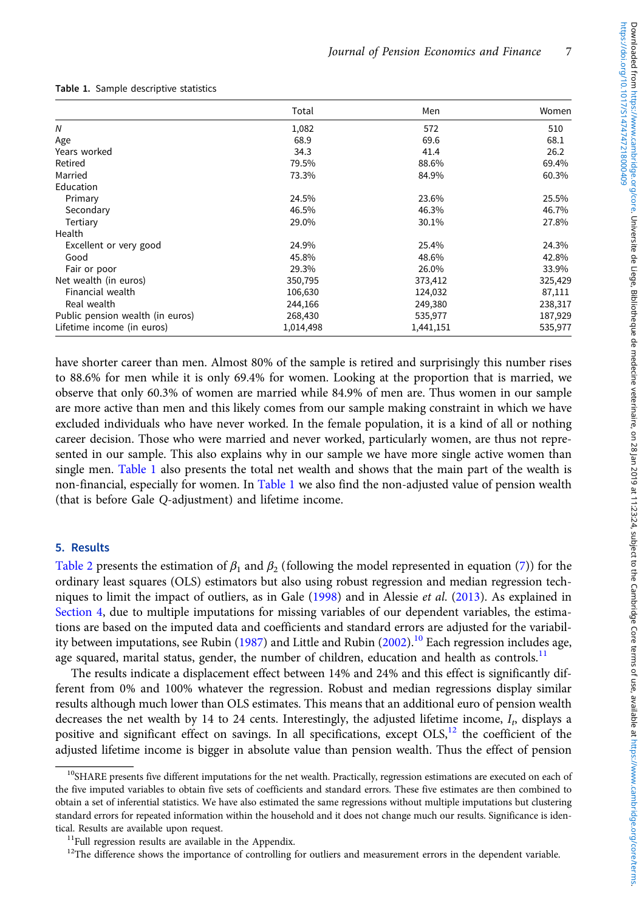|                                  | Total     | Men       | Women   |
|----------------------------------|-----------|-----------|---------|
| N                                | 1,082     | 572       | 510     |
| Age                              | 68.9      | 69.6      | 68.1    |
| Years worked                     | 34.3      | 41.4      | 26.2    |
| Retired                          | 79.5%     | 88.6%     | 69.4%   |
| Married                          | 73.3%     | 84.9%     | 60.3%   |
| Education                        |           |           |         |
| Primary                          | 24.5%     | 23.6%     | 25.5%   |
| Secondary                        | 46.5%     | 46.3%     | 46.7%   |
| Tertiary                         | 29.0%     | 30.1%     | 27.8%   |
| Health                           |           |           |         |
| Excellent or very good           | 24.9%     | 25.4%     | 24.3%   |
| Good                             | 45.8%     | 48.6%     | 42.8%   |
| Fair or poor                     | 29.3%     | 26.0%     | 33.9%   |
| Net wealth (in euros)            | 350,795   | 373,412   | 325,429 |
| Financial wealth                 | 106,630   | 124,032   | 87,111  |
| Real wealth                      | 244,166   | 249,380   | 238,317 |
| Public pension wealth (in euros) | 268,430   | 535,977   | 187,929 |
| Lifetime income (in euros)       | 1,014,498 | 1,441,151 | 535,977 |
|                                  |           |           |         |

#### <span id="page-6-0"></span>Table 1. Sample descriptive statistics

have shorter career than men. Almost 80% of the sample is retired and surprisingly this number rises to 88.6% for men while it is only 69.4% for women. Looking at the proportion that is married, we observe that only 60.3% of women are married while 84.9% of men are. Thus women in our sample are more active than men and this likely comes from our sample making constraint in which we have excluded individuals who have never worked. In the female population, it is a kind of all or nothing career decision. Those who were married and never worked, particularly women, are thus not represented in our sample. This also explains why in our sample we have more single active women than single men. Table 1 also presents the total net wealth and shows that the main part of the wealth is non-financial, especially for women. In Table 1 we also find the non-adjusted value of pension wealth (that is before Gale Q-adjustment) and lifetime income.

## 5. Results

[Table 2](#page-7-0) presents the estimation of  $\beta_1$  and  $\beta_2$  (following the model represented in equation [\(7\)](#page-4-0)) for the ordinary least squares (OLS) estimators but also using robust regression and median regression techniques to limit the impact of outliers, as in Gale [\(1998](#page-12-0)) and in Alessie et al. [\(2013](#page-12-0)). As explained in [Section 4,](#page-4-0) due to multiple imputations for missing variables of our dependent variables, the estimations are based on the imputed data and coefficients and standard errors are adjusted for the variabil-ity between imputations, see Rubin ([1987](#page-13-0)) and Little and Rubin ([2002\)](#page-12-0).<sup>10</sup> Each regression includes age, age squared, marital status, gender, the number of children, education and health as controls.<sup>11</sup>

The results indicate a displacement effect between 14% and 24% and this effect is significantly different from 0% and 100% whatever the regression. Robust and median regressions display similar results although much lower than OLS estimates. This means that an additional euro of pension wealth decreases the net wealth by 14 to 24 cents. Interestingly, the adjusted lifetime income,  $I<sub>b</sub>$  displays a positive and significant effect on savings. In all specifications, except  $OLS<sup>12</sup>$  the coefficient of the adjusted lifetime income is bigger in absolute value than pension wealth. Thus the effect of pension

<sup>&</sup>lt;sup>10</sup>SHARE presents five different imputations for the net wealth. Practically, regression estimations are executed on each of the five imputed variables to obtain five sets of coefficients and standard errors. These five estimates are then combined to obtain a set of inferential statistics. We have also estimated the same regressions without multiple imputations but clustering standard errors for repeated information within the household and it does not change much our results. Significance is identical. Results are available upon request.<br> $11$ Full regression results are available in the Appendix.

 $12$ The difference shows the importance of controlling for outliers and measurement errors in the dependent variable.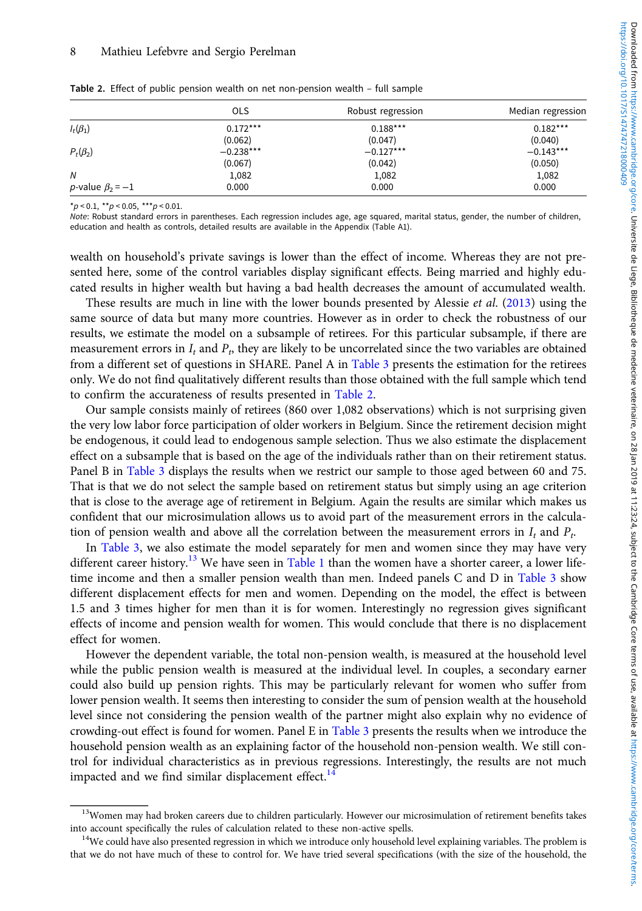|                        | <b>OLS</b>  | Robust regression | Median regression |  |
|------------------------|-------------|-------------------|-------------------|--|
| $I_t(\beta_1)$         | $0.172***$  | $0.188***$        | $0.182***$        |  |
|                        | (0.062)     | (0.047)           | (0.040)           |  |
| $P_t(\beta_2)$         | $-0.238***$ | $-0.127***$       | $-0.143***$       |  |
|                        | (0.067)     | (0.042)           | (0.050)           |  |
| N                      | 1,082       | 1,082             | 1,082             |  |
| p-value $\beta_2 = -1$ | 0.000       | 0.000             | 0.000             |  |

<span id="page-7-0"></span>Table 2. Effect of public pension wealth on net non-pension wealth – full sample

 $*_{D}$  < 0.1,  $*_{D}$  < 0.05,  $*_{D}$  < 0.01.

Note: Robust standard errors in parentheses. Each regression includes age, age squared, marital status, gender, the number of children, education and health as controls, detailed results are available in the Appendix (Table A1).

wealth on household's private savings is lower than the effect of income. Whereas they are not presented here, some of the control variables display significant effects. Being married and highly educated results in higher wealth but having a bad health decreases the amount of accumulated wealth.

These results are much in line with the lower bounds presented by Alessie et al. [\(2013\)](#page-12-0) using the same source of data but many more countries. However as in order to check the robustness of our results, we estimate the model on a subsample of retirees. For this particular subsample, if there are measurement errors in  $I_t$  and  $P_t$ , they are likely to be uncorrelated since the two variables are obtained from a different set of questions in SHARE. Panel A in [Table 3](#page-8-0) presents the estimation for the retirees only. We do not find qualitatively different results than those obtained with the full sample which tend to confirm the accurateness of results presented in Table 2.

Our sample consists mainly of retirees (860 over 1,082 observations) which is not surprising given the very low labor force participation of older workers in Belgium. Since the retirement decision might be endogenous, it could lead to endogenous sample selection. Thus we also estimate the displacement effect on a subsample that is based on the age of the individuals rather than on their retirement status. Panel B in [Table 3](#page-8-0) displays the results when we restrict our sample to those aged between 60 and 75. That is that we do not select the sample based on retirement status but simply using an age criterion that is close to the average age of retirement in Belgium. Again the results are similar which makes us confident that our microsimulation allows us to avoid part of the measurement errors in the calculation of pension wealth and above all the correlation between the measurement errors in  $I_t$  and  $P_t$ .

In [Table 3](#page-8-0), we also estimate the model separately for men and women since they may have very different career history.<sup>13</sup> We have seen in [Table 1](#page-6-0) than the women have a shorter career, a lower life-time income and then a smaller pension wealth than men. Indeed panels C and D in [Table 3](#page-8-0) show different displacement effects for men and women. Depending on the model, the effect is between 1.5 and 3 times higher for men than it is for women. Interestingly no regression gives significant effects of income and pension wealth for women. This would conclude that there is no displacement effect for women.

However the dependent variable, the total non-pension wealth, is measured at the household level while the public pension wealth is measured at the individual level. In couples, a secondary earner could also build up pension rights. This may be particularly relevant for women who suffer from lower pension wealth. It seems then interesting to consider the sum of pension wealth at the household level since not considering the pension wealth of the partner might also explain why no evidence of crowding-out effect is found for women. Panel E in [Table 3](#page-8-0) presents the results when we introduce the household pension wealth as an explaining factor of the household non-pension wealth. We still control for individual characteristics as in previous regressions. Interestingly, the results are not much impacted and we find similar displacement effect.<sup>14</sup>

<sup>&</sup>lt;sup>13</sup>Women may had broken careers due to children particularly. However our microsimulation of retirement benefits takes into account specifically the rules of calculation related to these non-active spells.<br><sup>14</sup>We could have also presented regression in which we introduce only household level explaining variables. The problem is

that we do not have much of these to control for. We have tried several specifications (with the size of the household, the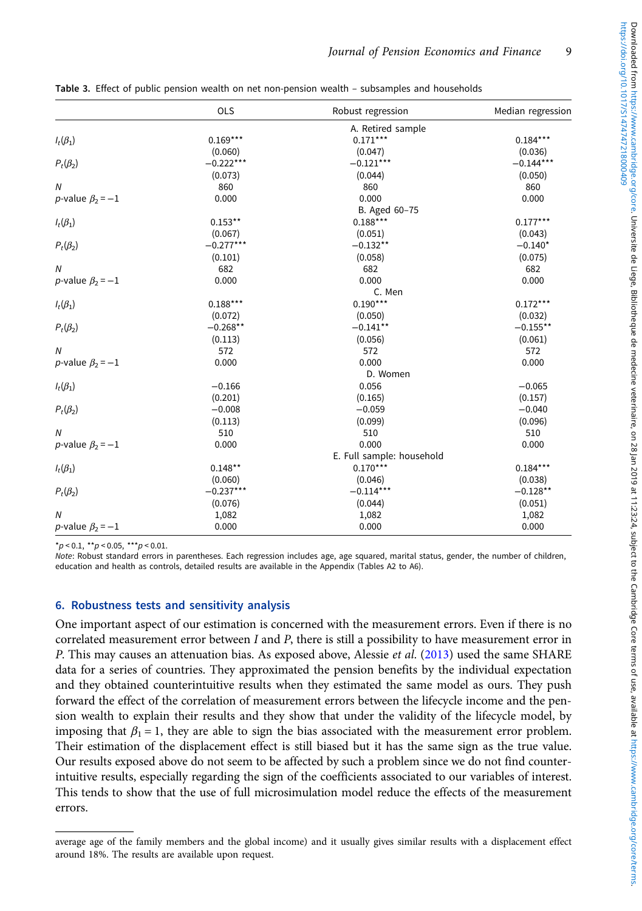|                        | <b>OLS</b>  | Robust regression         | Median regression |  |
|------------------------|-------------|---------------------------|-------------------|--|
|                        |             | A. Retired sample         |                   |  |
| $I_t(\beta_1)$         | $0.169***$  | $0.171***$                | $0.184***$        |  |
|                        | (0.060)     | (0.047)                   | (0.036)           |  |
| $P_t(\beta_2)$         | $-0.222***$ | $-0.121***$               | $-0.144***$       |  |
|                        | (0.073)     | (0.044)                   | (0.050)           |  |
| $\boldsymbol{N}$       | 860         | 860                       | 860               |  |
| p-value $\beta_2 = -1$ | 0.000       | 0.000                     | 0.000             |  |
|                        |             | B. Aged 60-75             |                   |  |
| $I_t(\beta_1)$         | $0.153***$  | $0.188***$                | $0.177***$        |  |
|                        | (0.067)     | (0.051)                   | (0.043)           |  |
| $P_t(\beta_2)$         | $-0.277***$ | $-0.132**$                | $-0.140*$         |  |
|                        | (0.101)     | (0.058)                   | (0.075)           |  |
| $\boldsymbol{N}$       | 682         | 682                       | 682               |  |
| p-value $\beta_2 = -1$ | 0.000       | 0.000                     | 0.000             |  |
|                        |             | C. Men                    |                   |  |
| $I_t(\beta_1)$         | $0.188***$  | $0.190***$                | $0.172***$        |  |
|                        | (0.072)     | (0.050)                   | (0.032)           |  |
| $P_t(\beta_2)$         | $-0.268**$  | $-0.141**$                | $-0.155**$        |  |
|                        | (0.113)     | (0.056)                   | (0.061)           |  |
| $\boldsymbol{N}$       | 572         | 572                       | 572               |  |
| p-value $\beta_2 = -1$ | 0.000       | 0.000                     | 0.000             |  |
|                        | D. Women    |                           |                   |  |
| $I_t(\beta_1)$         | $-0.166$    | 0.056                     | $-0.065$          |  |
|                        | (0.201)     | (0.165)                   | (0.157)           |  |
| $P_t(\beta_2)$         | $-0.008$    | $-0.059$                  | $-0.040$          |  |
|                        | (0.113)     | (0.099)                   | (0.096)           |  |
| $\boldsymbol{N}$       | 510         | 510                       | 510               |  |
| p-value $\beta_2 = -1$ | 0.000       | 0.000                     | 0.000             |  |
|                        |             | E. Full sample: household |                   |  |
| $I_t(\beta_1)$         | $0.148**$   | $0.170***$                | $0.184***$        |  |
|                        | (0.060)     | (0.046)                   | (0.038)           |  |
| $P_t(\beta_2)$         | $-0.237***$ | $-0.114***$               | $-0.128**$        |  |
|                        | (0.076)     | (0.044)                   | (0.051)           |  |
| $\overline{N}$         | 1,082       | 1,082                     | 1,082             |  |
| p-value $\beta_2 = -1$ | 0.000       | 0.000                     | 0.000             |  |
|                        |             |                           |                   |  |

<span id="page-8-0"></span>Table 3. Effect of public pension wealth on net non-pension wealth – subsamples and households

 $*_{p}$  < 0.1,  $*_{p}$  < 0.05,  $*_{p}$  < 0.01.

Note: Robust standard errors in parentheses. Each regression includes age, age squared, marital status, gender, the number of children, education and health as controls, detailed results are available in the Appendix (Tables A2 to A6).

## 6. Robustness tests and sensitivity analysis

One important aspect of our estimation is concerned with the measurement errors. Even if there is no correlated measurement error between  $I$  and  $P$ , there is still a possibility to have measurement error in P. This may causes an attenuation bias. As exposed above, Alessie et al. [\(2013](#page-12-0)) used the same SHARE data for a series of countries. They approximated the pension benefits by the individual expectation and they obtained counterintuitive results when they estimated the same model as ours. They push forward the effect of the correlation of measurement errors between the lifecycle income and the pension wealth to explain their results and they show that under the validity of the lifecycle model, by imposing that  $\beta_1 = 1$ , they are able to sign the bias associated with the measurement error problem. Their estimation of the displacement effect is still biased but it has the same sign as the true value. Our results exposed above do not seem to be affected by such a problem since we do not find counterintuitive results, especially regarding the sign of the coefficients associated to our variables of interest. This tends to show that the use of full microsimulation model reduce the effects of the measurement errors.

average age of the family members and the global income) and it usually gives similar results with a displacement effect around 18%. The results are available upon request.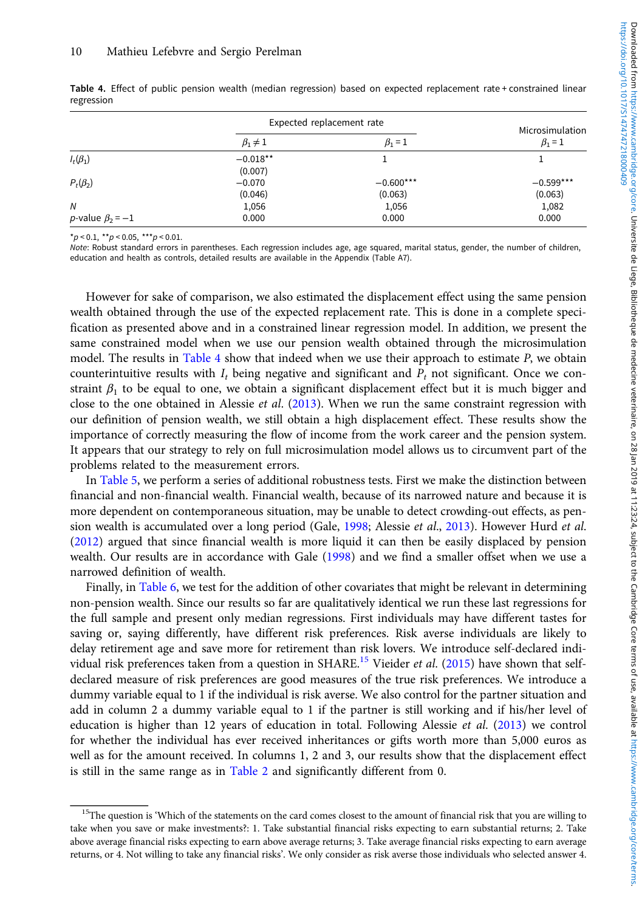|                             | Expected replacement rate |                        | Microsimulation        |  |
|-----------------------------|---------------------------|------------------------|------------------------|--|
|                             | $\beta_1 \neq 1$          | $\beta_1 = 1$          | $\beta_1 = 1$          |  |
| $I_t(\beta_1)$              | $-0.018**$<br>(0.007)     |                        |                        |  |
| $P_t(\beta_2)$              | $-0.070$<br>(0.046)       | $-0.600***$<br>(0.063) | $-0.599***$<br>(0.063) |  |
| N<br>p-value $\beta_2 = -1$ | 1,056<br>0.000            | 1,056<br>0.000         | 1,082<br>0.000         |  |

Table 4. Effect of public pension wealth (median regression) based on expected replacement rate + constrained linear regression

 $*_{p}$  < 0.1,  $*_{p}$  < 0.05,  $*_{p}$  < 0.01.

Note: Robust standard errors in parentheses. Each regression includes age, age squared, marital status, gender, the number of children, education and health as controls, detailed results are available in the Appendix (Table A7).

However for sake of comparison, we also estimated the displacement effect using the same pension wealth obtained through the use of the expected replacement rate. This is done in a complete specification as presented above and in a constrained linear regression model. In addition, we present the same constrained model when we use our pension wealth obtained through the microsimulation model. The results in Table  $4$  show that indeed when we use their approach to estimate  $P$ , we obtain counterintuitive results with  $I_t$  being negative and significant and  $P_t$  not significant. Once we constraint  $\beta_1$  to be equal to one, we obtain a significant displacement effect but it is much bigger and close to the one obtained in Alessie et al. ([2013](#page-12-0)). When we run the same constraint regression with our definition of pension wealth, we still obtain a high displacement effect. These results show the importance of correctly measuring the flow of income from the work career and the pension system. It appears that our strategy to rely on full microsimulation model allows us to circumvent part of the problems related to the measurement errors.

In [Table 5](#page-10-0), we perform a series of additional robustness tests. First we make the distinction between financial and non-financial wealth. Financial wealth, because of its narrowed nature and because it is more dependent on contemporaneous situation, may be unable to detect crowding-out effects, as pen-sion wealth is accumulated over a long period (Gale, [1998;](#page-12-0) Alessie et al., [2013](#page-12-0)). However Hurd et al. [\(2012\)](#page-12-0) argued that since financial wealth is more liquid it can then be easily displaced by pension wealth. Our results are in accordance with Gale ([1998\)](#page-12-0) and we find a smaller offset when we use a narrowed definition of wealth.

Finally, in [Table 6](#page-10-0), we test for the addition of other covariates that might be relevant in determining non-pension wealth. Since our results so far are qualitatively identical we run these last regressions for the full sample and present only median regressions. First individuals may have different tastes for saving or, saying differently, have different risk preferences. Risk averse individuals are likely to delay retirement age and save more for retirement than risk lovers. We introduce self-declared indi-vidual risk preferences taken from a question in SHARE.<sup>15</sup> Vieider et al. ([2015](#page-13-0)) have shown that selfdeclared measure of risk preferences are good measures of the true risk preferences. We introduce a dummy variable equal to 1 if the individual is risk averse. We also control for the partner situation and add in column 2 a dummy variable equal to 1 if the partner is still working and if his/her level of education is higher than 12 years of education in total. Following Alessie et al. [\(2013](#page-12-0)) we control for whether the individual has ever received inheritances or gifts worth more than 5,000 euros as well as for the amount received. In columns 1, 2 and 3, our results show that the displacement effect is still in the same range as in [Table 2](#page-7-0) and significantly different from 0.

<sup>&</sup>lt;sup>15</sup>The question is 'Which of the statements on the card comes closest to the amount of financial risk that you are willing to take when you save or make investments?: 1. Take substantial financial risks expecting to earn substantial returns; 2. Take above average financial risks expecting to earn above average returns; 3. Take average financial risks expecting to earn average returns, or 4. Not willing to take any financial risks'. We only consider as risk averse those individuals who selected answer 4.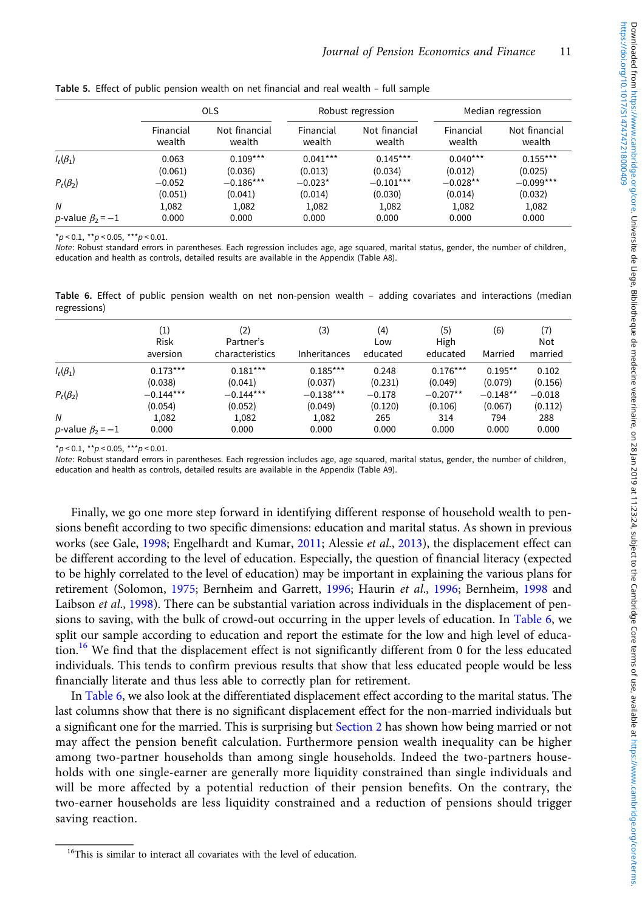|                        | <b>OLS</b>          |                         | Robust regression    |                         | Median regression     |                         |
|------------------------|---------------------|-------------------------|----------------------|-------------------------|-----------------------|-------------------------|
|                        | Financial<br>wealth | Not financial<br>wealth | Financial<br>wealth  | Not financial<br>wealth | Financial<br>wealth   | Not financial<br>wealth |
| $I_t(\beta_1)$         | 0.063               | $0.109***$              | $0.041***$           | $0.145***$              | $0.040***$            | $0.155***$              |
| $P_t(\beta_2)$         | (0.061)<br>$-0.052$ | (0.036)<br>$-0.186***$  | (0.013)<br>$-0.023*$ | (0.034)<br>$-0.101***$  | (0.012)<br>$-0.028**$ | (0.025)<br>$-0.099***$  |
|                        | (0.051)             | (0.041)                 | (0.014)              | (0.030)                 | (0.014)               | (0.032)                 |
| N                      | 1,082               | 1,082                   | 1,082                | 1,082                   | 1,082                 | 1,082                   |
| p-value $\beta_2 = -1$ | 0.000               | 0.000                   | 0.000                | 0.000                   | 0.000                 | 0.000                   |

<span id="page-10-0"></span>Table 5. Effect of public pension wealth on net financial and real wealth – full sample

 $*_{p}$  < 0.1,  $*_{p}$  < 0.05,  $*_{p}$  < 0.01.

Note: Robust standard errors in parentheses. Each regression includes age, age squared, marital status, gender, the number of children, education and health as controls, detailed results are available in the Appendix (Table A8).

Table 6. Effect of public pension wealth on net non-pension wealth – adding covariates and interactions (median regressions)

|                                | $\scriptstyle{(1)}$<br><b>Risk</b><br>aversion | (2)<br>Partner's<br>characteristics | (3)<br><b>Inheritances</b> | (4)<br>Low<br>educated | (5)<br>High<br>educated | (6)<br>Married | (7)<br>Not<br>married |
|--------------------------------|------------------------------------------------|-------------------------------------|----------------------------|------------------------|-------------------------|----------------|-----------------------|
| $I_t(\beta_1)$                 | $0.173***$                                     | $0.181***$                          | $0.185***$                 | 0.248                  | $0.176***$              | $0.195**$      | 0.102                 |
|                                | (0.038)                                        | (0.041)                             | (0.037)                    | (0.231)                | (0.049)                 | (0.079)        | (0.156)               |
| $P_t(\beta_2)$                 | $-0.144***$                                    | $-0.144***$                         | $-0.138***$                | $-0.178$               | $-0.207**$              | $-0.148**$     | $-0.018$              |
|                                | (0.054)                                        | (0.052)                             | (0.049)                    | (0.120)                | (0.106)                 | (0.067)        | (0.112)               |
| N                              | 1,082                                          | 1,082                               | 1,082                      | 265                    | 314                     | 794            | 288                   |
| <i>p</i> -value $\beta_2 = -1$ | 0.000                                          | 0.000                               | 0.000                      | 0.000                  | 0.000                   | 0.000          | 0.000                 |

 $*_{p}$  < 0.1,  $*_{p}$  < 0.05,  $*_{p}$  < 0.01.

Note: Robust standard errors in parentheses. Each regression includes age, age squared, marital status, gender, the number of children, education and health as controls, detailed results are available in the Appendix (Table A9).

Finally, we go one more step forward in identifying different response of household wealth to pensions benefit according to two specific dimensions: education and marital status. As shown in previous works (see Gale, [1998](#page-12-0); Engelhardt and Kumar, [2011](#page-12-0); Alessie et al., [2013\)](#page-12-0), the displacement effect can be different according to the level of education. Especially, the question of financial literacy (expected to be highly correlated to the level of education) may be important in explaining the various plans for retirement (Solomon, [1975](#page-13-0); Bernheim and Garrett, [1996](#page-12-0); Haurin et al., [1996;](#page-12-0) Bernheim, [1998](#page-12-0) and Laibson et al., [1998\)](#page-12-0). There can be substantial variation across individuals in the displacement of pensions to saving, with the bulk of crowd-out occurring in the upper levels of education. In Table 6, we split our sample according to education and report the estimate for the low and high level of education.<sup>16</sup> We find that the displacement effect is not significantly different from 0 for the less educated individuals. This tends to confirm previous results that show that less educated people would be less financially literate and thus less able to correctly plan for retirement.

In Table 6, we also look at the differentiated displacement effect according to the marital status. The last columns show that there is no significant displacement effect for the non-married individuals but a significant one for the married. This is surprising but [Section 2](#page-2-0) has shown how being married or not may affect the pension benefit calculation. Furthermore pension wealth inequality can be higher among two-partner households than among single households. Indeed the two-partners households with one single-earner are generally more liquidity constrained than single individuals and will be more affected by a potential reduction of their pension benefits. On the contrary, the two-earner households are less liquidity constrained and a reduction of pensions should trigger saving reaction.

<sup>&</sup>lt;sup>16</sup>This is similar to interact all covariates with the level of education.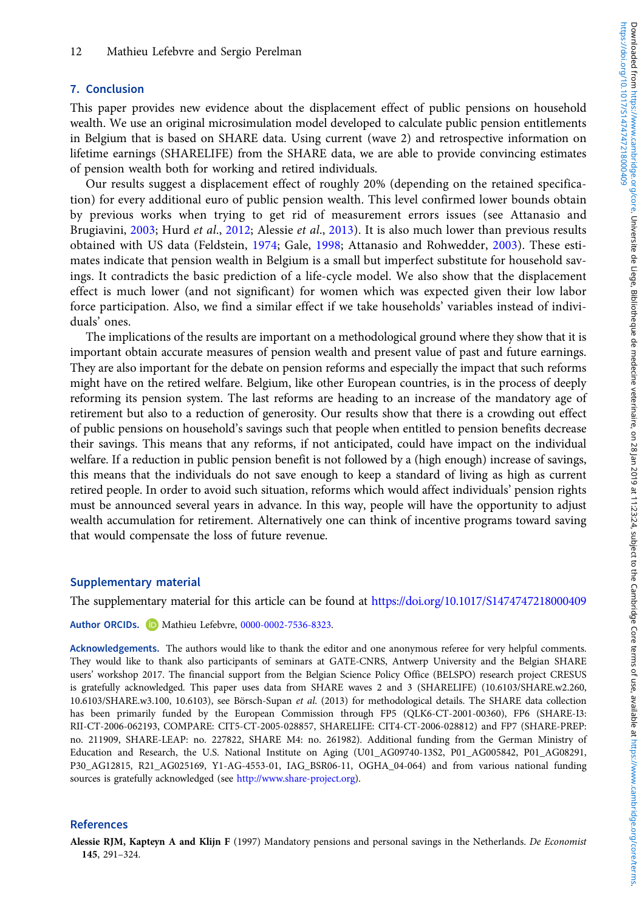# <span id="page-11-0"></span>7. Conclusion

This paper provides new evidence about the displacement effect of public pensions on household wealth. We use an original microsimulation model developed to calculate public pension entitlements in Belgium that is based on SHARE data. Using current (wave 2) and retrospective information on lifetime earnings (SHARELIFE) from the SHARE data, we are able to provide convincing estimates of pension wealth both for working and retired individuals.

Our results suggest a displacement effect of roughly 20% (depending on the retained specification) for every additional euro of public pension wealth. This level confirmed lower bounds obtain by previous works when trying to get rid of measurement errors issues (see Attanasio and Brugiavini, [2003](#page-12-0); Hurd et al., [2012;](#page-12-0) Alessie et al., [2013\)](#page-12-0). It is also much lower than previous results obtained with US data (Feldstein, [1974;](#page-12-0) Gale, [1998;](#page-12-0) Attanasio and Rohwedder, [2003\)](#page-12-0). These estimates indicate that pension wealth in Belgium is a small but imperfect substitute for household savings. It contradicts the basic prediction of a life-cycle model. We also show that the displacement effect is much lower (and not significant) for women which was expected given their low labor force participation. Also, we find a similar effect if we take households' variables instead of individuals' ones.

The implications of the results are important on a methodological ground where they show that it is important obtain accurate measures of pension wealth and present value of past and future earnings. They are also important for the debate on pension reforms and especially the impact that such reforms might have on the retired welfare. Belgium, like other European countries, is in the process of deeply reforming its pension system. The last reforms are heading to an increase of the mandatory age of retirement but also to a reduction of generosity. Our results show that there is a crowding out effect of public pensions on household's savings such that people when entitled to pension benefits decrease their savings. This means that any reforms, if not anticipated, could have impact on the individual welfare. If a reduction in public pension benefit is not followed by a (high enough) increase of savings, this means that the individuals do not save enough to keep a standard of living as high as current retired people. In order to avoid such situation, reforms which would affect individuals' pension rights must be announced several years in advance. In this way, people will have the opportunity to adjust wealth accumulation for retirement. Alternatively one can think of incentive programs toward saving that would compensate the loss of future revenue.

## Supplementary material

The supplementary material for this article can be found at <https://doi.org/10.1017/S1474747218000409>

Author ORCIDs. D Mathieu Lefebvre, [0000-0002-7536-8323](http://orcid.org/0000-0002-7536-8323).

Acknowledgements. The authors would like to thank the editor and one anonymous referee for very helpful comments. They would like to thank also participants of seminars at GATE-CNRS, Antwerp University and the Belgian SHARE users' workshop 2017. The financial support from the Belgian Science Policy Office (BELSPO) research project CRESUS is gratefully acknowledged. This paper uses data from SHARE waves 2 and 3 (SHARELIFE) (10.6103/SHARE.w2.260, 10.6103/SHARE.w3.100, 10.6103), see Börsch-Supan et al. (2013) for methodological details. The SHARE data collection has been primarily funded by the European Commission through FP5 (QLK6-CT-2001-00360), FP6 (SHARE-I3: RII-CT-2006-062193, COMPARE: CIT5-CT-2005-028857, SHARELIFE: CIT4-CT-2006-028812) and FP7 (SHARE-PREP: no. 211909, SHARE-LEAP: no. 227822, SHARE M4: no. 261982). Additional funding from the German Ministry of Education and Research, the U.S. National Institute on Aging (U01\_AG09740-13S2, P01\_AG005842, P01\_AG08291, P30\_AG12815, R21\_AG025169, Y1-AG-4553-01, IAG\_BSR06-11, OGHA\_04-064) and from various national funding sources is gratefully acknowledged (see [http://www.share-project.org\)](http://www.share-project.org).

#### References

Alessie RJM, Kapteyn A and Klijn F (1997) Mandatory pensions and personal savings in the Netherlands. De Economist 145, 291–324.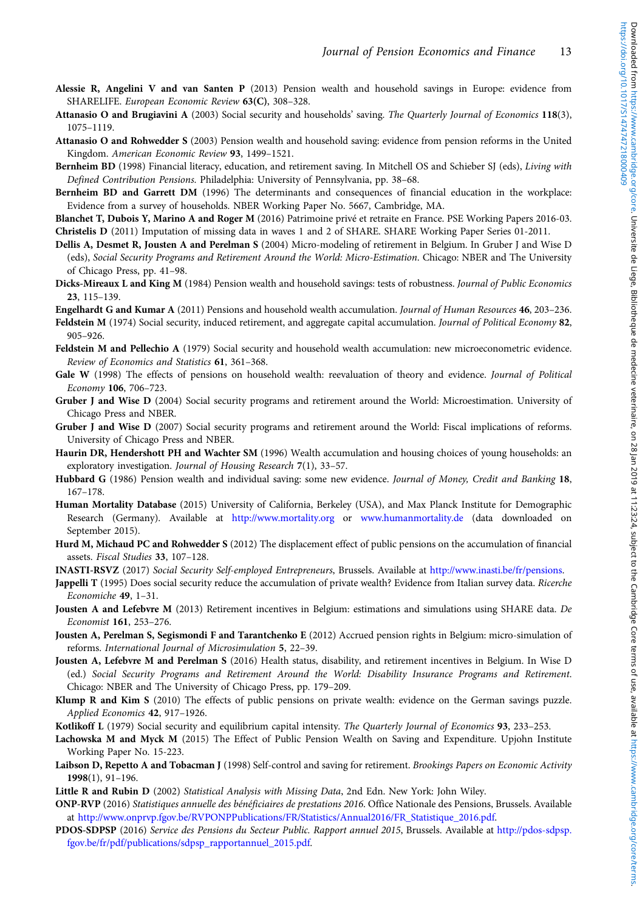- <span id="page-12-0"></span>Alessie R, Angelini V and van Santen P (2013) Pension wealth and household savings in Europe: evidence from SHARELIFE. European Economic Review 63(C), 308–328.
- Attanasio O and Brugiavini A (2003) Social security and households' saving. The Quarterly Journal of Economics 118(3), 1075–1119.
- Attanasio O and Rohwedder S (2003) Pension wealth and household saving: evidence from pension reforms in the United Kingdom. American Economic Review 93, 1499–1521.
- Bernheim BD (1998) Financial literacy, education, and retirement saving. In Mitchell OS and Schieber SJ (eds), Living with Defined Contribution Pensions. Philadelphia: University of Pennsylvania, pp. 38–68.
- Bernheim BD and Garrett DM (1996) The determinants and consequences of financial education in the workplace: Evidence from a survey of households. NBER Working Paper No. 5667, Cambridge, MA.
- Blanchet T, Dubois Y, Marino A and Roger M (2016) Patrimoine privé et retraite en France. PSE Working Papers 2016-03. Christelis D (2011) Imputation of missing data in waves 1 and 2 of SHARE. SHARE Working Paper Series 01-2011.
- Dellis A, Desmet R, Jousten A and Perelman S (2004) Micro-modeling of retirement in Belgium. In Gruber J and Wise D (eds), Social Security Programs and Retirement Around the World: Micro-Estimation. Chicago: NBER and The University of Chicago Press, pp. 41–98.
- Dicks-Mireaux L and King M (1984) Pension wealth and household savings: tests of robustness. Journal of Public Economics 23, 115–139.
- Engelhardt G and Kumar A (2011) Pensions and household wealth accumulation. Journal of Human Resources 46, 203-236.
- Feldstein M (1974) Social security, induced retirement, and aggregate capital accumulation. Journal of Political Economy 82, 905–926.
- Feldstein M and Pellechio A (1979) Social security and household wealth accumulation: new microeconometric evidence. Review of Economics and Statistics 61, 361–368.
- Gale W (1998) The effects of pensions on household wealth: reevaluation of theory and evidence. Journal of Political Economy 106, 706–723.
- Gruber J and Wise D (2004) Social security programs and retirement around the World: Microestimation. University of Chicago Press and NBER.
- Gruber J and Wise D (2007) Social security programs and retirement around the World: Fiscal implications of reforms. University of Chicago Press and NBER.
- Haurin DR, Hendershott PH and Wachter SM (1996) Wealth accumulation and housing choices of young households: an exploratory investigation. Journal of Housing Research 7(1), 33–57.
- Hubbard G (1986) Pension wealth and individual saving: some new evidence. Journal of Money, Credit and Banking 18, 167–178.
- Human Mortality Database (2015) University of California, Berkeley (USA), and Max Planck Institute for Demographic Research (Germany). Available at <http://www.mortality.org> or [www.humanmortality.de](http://www.humanmortality.de) (data downloaded on September 2015).
- Hurd M, Michaud PC and Rohwedder S (2012) The displacement effect of public pensions on the accumulation of financial assets. Fiscal Studies 33, 107–128.
- INASTI-RSVZ (2017) Social Security Self-employed Entrepreneurs, Brussels. Available at <http://www.inasti.be/fr/pensions>.
- Jappelli T (1995) Does social security reduce the accumulation of private wealth? Evidence from Italian survey data. Ricerche Economiche 49, 1–31.
- Jousten A and Lefebvre M (2013) Retirement incentives in Belgium: estimations and simulations using SHARE data. De Economist 161, 253–276.
- Jousten A, Perelman S, Segismondi F and Tarantchenko E (2012) Accrued pension rights in Belgium: micro-simulation of reforms. International Journal of Microsimulation 5, 22–39.
- Jousten A, Lefebvre M and Perelman S (2016) Health status, disability, and retirement incentives in Belgium. In Wise D (ed.) Social Security Programs and Retirement Around the World: Disability Insurance Programs and Retirement. Chicago: NBER and The University of Chicago Press, pp. 179–209.
- Klump R and Kim S (2010) The effects of public pensions on private wealth: evidence on the German savings puzzle. Applied Economics 42, 917–1926.
- Kotlikoff L (1979) Social security and equilibrium capital intensity. The Quarterly Journal of Economics 93, 233-253.
- Lachowska M and Myck M (2015) The Effect of Public Pension Wealth on Saving and Expenditure. Upjohn Institute Working Paper No. 15-223.
- Laibson D, Repetto A and Tobacman J (1998) Self-control and saving for retirement. Brookings Papers on Economic Activity 1998(1), 91–196.
- Little R and Rubin D (2002) Statistical Analysis with Missing Data, 2nd Edn. New York: John Wiley.
- ONP-RVP (2016) Statistiques annuelle des bénéficiaires de prestations 2016. Office Nationale des Pensions, Brussels. Available at [http://www.onprvp.fgov.be/RVPONPPublications/FR/Statistics/Annual2016/FR\\_Statistique\\_2016.pdf](http://www.onprvp.fgov.be/RVPONPPublications/FR/Statistics/Annual2016/FR_Statistique_2016.pdf).
- PDOS-SDPSP (2016) Service des Pensions du Secteur Public. Rapport annuel 2015, Brussels. Available at [http://pdos-sdpsp.](http://pdos-sdpsp.fgov.be/fr/pdf/publications/sdpsp_rapportannuel_2015.pdf) [fgov.be/fr/pdf/publications/sdpsp\\_rapportannuel\\_2015.pdf](http://pdos-sdpsp.fgov.be/fr/pdf/publications/sdpsp_rapportannuel_2015.pdf).